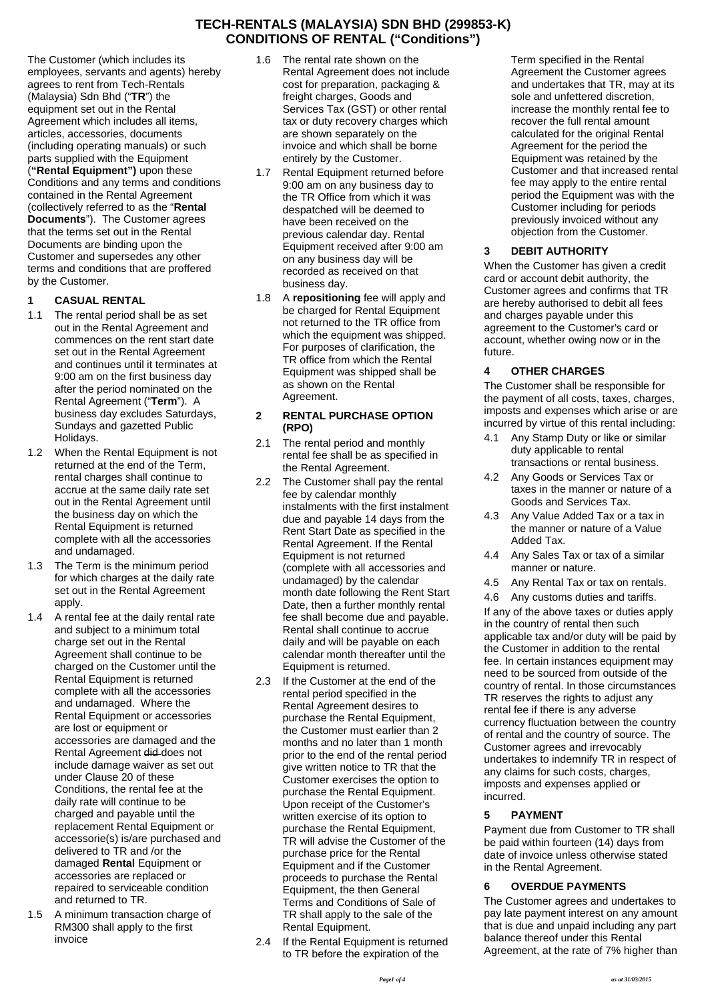The Customer (which includes its employees, servants and agents) hereby agrees to rent from Tech-Rentals (Malaysia) Sdn Bhd ("**TR**") the equipment set out in the Rental Agreement which includes all items, articles, accessories, documents (including operating manuals) or such parts supplied with the Equipment (**"Rental Equipment")** upon these Conditions and any terms and conditions contained in the Rental Agreement (collectively referred to as the "**Rental Documents**"). The Customer agrees that the terms set out in the Rental Documents are binding upon the Customer and supersedes any other terms and conditions that are proffered by the Customer.

## **1 CASUAL RENTAL**

- 1.1 The rental period shall be as set out in the Rental Agreement and commences on the rent start date set out in the Rental Agreement and continues until it terminates at 9:00 am on the first business day after the period nominated on the Rental Agreement ("**Term**"). A business day excludes Saturdays, Sundays and gazetted Public Holidays.
- 1.2 When the Rental Equipment is not returned at the end of the Term, rental charges shall continue to accrue at the same daily rate set out in the Rental Agreement until the business day on which the Rental Equipment is returned complete with all the accessories and undamaged.
- 1.3 The Term is the minimum period for which charges at the daily rate set out in the Rental Agreement apply.
- 1.4 A rental fee at the daily rental rate and subject to a minimum total charge set out in the Rental Agreement shall continue to be charged on the Customer until the Rental Equipment is returned complete with all the accessories and undamaged. Where the Rental Equipment or accessories are lost or equipment or accessories are damaged and the Rental Agreement did does not include damage waiver as set out under Clause 20 of these Conditions, the rental fee at the daily rate will continue to be charged and payable until the replacement Rental Equipment or accessorie(s) is/are purchased and delivered to TR and /or the damaged **Rental** Equipment or accessories are replaced or repaired to serviceable condition and returned to TR.
- 1.5 A minimum transaction charge of RM300 shall apply to the first invoice
- 1.6 The rental rate shown on the Rental Agreement does not include cost for preparation, packaging & freight charges, Goods and Services Tax (GST) or other rental tax or duty recovery charges which are shown separately on the invoice and which shall be borne entirely by the Customer.
- 1.7 Rental Equipment returned before 9:00 am on any business day to the TR Office from which it was despatched will be deemed to have been received on the previous calendar day. Rental Equipment received after 9:00 am on any business day will be recorded as received on that business day.
- 1.8 A **repositioning** fee will apply and be charged for Rental Equipment not returned to the TR office from which the equipment was shipped. For purposes of clarification, the TR office from which the Rental Equipment was shipped shall be as shown on the Rental Agreement.

#### **2 RENTAL PURCHASE OPTION (RPO)**

- 2.1 The rental period and monthly rental fee shall be as specified in the Rental Agreement.
- 2.2 The Customer shall pay the rental fee by calendar monthly instalments with the first instalment due and payable 14 days from the Rent Start Date as specified in the Rental Agreement. If the Rental Equipment is not returned (complete with all accessories and undamaged) by the calendar month date following the Rent Start Date, then a further monthly rental fee shall become due and payable. Rental shall continue to accrue daily and will be payable on each calendar month thereafter until the Equipment is returned.
- 2.3 If the Customer at the end of the rental period specified in the Rental Agreement desires to purchase the Rental Equipment, the Customer must earlier than 2 months and no later than 1 month prior to the end of the rental period give written notice to TR that the Customer exercises the option to purchase the Rental Equipment. Upon receipt of the Customer's written exercise of its option to purchase the Rental Equipment, TR will advise the Customer of the purchase price for the Rental Equipment and if the Customer proceeds to purchase the Rental Equipment, the then General Terms and Conditions of Sale of TR shall apply to the sale of the Rental Equipment.
- 2.4 If the Rental Equipment is returned to TR before the expiration of the

Term specified in the Rental Agreement the Customer agrees and undertakes that TR, may at its sole and unfettered discretion, increase the monthly rental fee to recover the full rental amount calculated for the original Rental Agreement for the period the Equipment was retained by the Customer and that increased rental fee may apply to the entire rental period the Equipment was with the Customer including for periods previously invoiced without any objection from the Customer.

# **3 DEBIT AUTHORITY**

When the Customer has given a credit card or account debit authority, the Customer agrees and confirms that TR are hereby authorised to debit all fees and charges payable under this agreement to the Customer's card or account, whether owing now or in the future.

## **4 OTHER CHARGES**

The Customer shall be responsible for the payment of all costs, taxes, charges, imposts and expenses which arise or are incurred by virtue of this rental including:

- Any Stamp Duty or like or similar duty applicable to rental transactions or rental business.
- 4.2 Any Goods or Services Tax or taxes in the manner or nature of a Goods and Services Tax.
- 4.3 Any Value Added Tax or a tax in the manner or nature of a Value Added Tax.
- 4.4 Any Sales Tax or tax of a similar manner or nature.
- 4.5 Any Rental Tax or tax on rentals.
- 4.6 Any customs duties and tariffs.

If any of the above taxes or duties apply in the country of rental then such applicable tax and/or duty will be paid by the Customer in addition to the rental fee. In certain instances equipment may need to be sourced from outside of the country of rental. In those circumstances TR reserves the rights to adjust any rental fee if there is any adverse currency fluctuation between the country of rental and the country of source. The Customer agrees and irrevocably undertakes to indemnify TR in respect of any claims for such costs, charges, imposts and expenses applied or incurred.

## **5 PAYMENT**

Payment due from Customer to TR shall be paid within fourteen (14) days from date of invoice unless otherwise stated in the Rental Agreement.

## **6 OVERDUE PAYMENTS**

The Customer agrees and undertakes to pay late payment interest on any amount that is due and unpaid including any part balance thereof under this Rental Agreement, at the rate of 7% higher than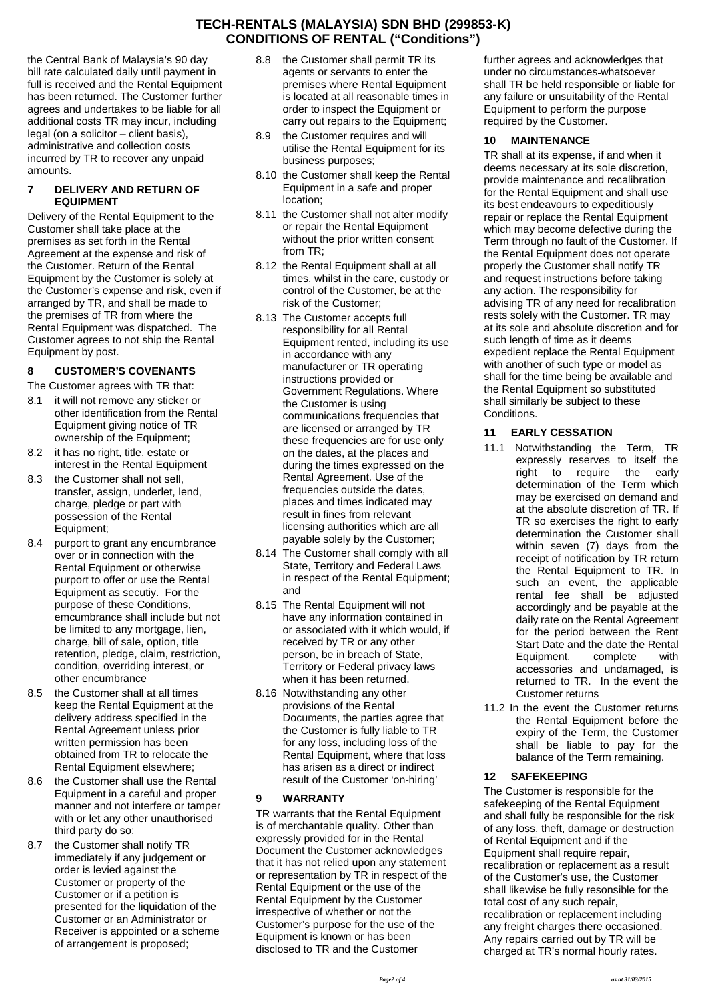the Central Bank of Malaysia's 90 day bill rate calculated daily until payment in full is received and the Rental Equipment has been returned. The Customer further agrees and undertakes to be liable for all additional costs TR may incur, including legal (on a solicitor – client basis), administrative and collection costs incurred by TR to recover any unpaid amounts.

#### **7 DELIVERY AND RETURN OF EQUIPMENT**

Delivery of the Rental Equipment to the Customer shall take place at the premises as set forth in the Rental Agreement at the expense and risk of the Customer. Return of the Rental Equipment by the Customer is solely at the Customer's expense and risk, even if arranged by TR, and shall be made to the premises of TR from where the Rental Equipment was dispatched. The Customer agrees to not ship the Rental Equipment by post.

# **8 CUSTOMER'S COVENANTS**

The Customer agrees with TR that:

- 8.1 it will not remove any sticker or other identification from the Rental Equipment giving notice of TR ownership of the Equipment;
- 8.2 it has no right, title, estate or interest in the Rental Equipment
- 8.3 the Customer shall not sell, transfer, assign, underlet, lend, charge, pledge or part with possession of the Rental Equipment;
- 8.4 purport to grant any encumbrance over or in connection with the Rental Equipment or otherwise purport to offer or use the Rental Equipment as secutiy. For the purpose of these Conditions, emcumbrance shall include but not be limited to any mortgage, lien, charge, bill of sale, option, title retention, pledge, claim, restriction, condition, overriding interest, or other encumbrance
- 8.5 the Customer shall at all times keep the Rental Equipment at the delivery address specified in the Rental Agreement unless prior written permission has been obtained from TR to relocate the Rental Equipment elsewhere;
- 8.6 the Customer shall use the Rental Equipment in a careful and proper manner and not interfere or tamper with or let any other unauthorised third party do so;
- 8.7 the Customer shall notify TR immediately if any judgement or order is levied against the Customer or property of the Customer or if a petition is presented for the liquidation of the Customer or an Administrator or Receiver is appointed or a scheme of arrangement is proposed;
- 8.8 the Customer shall permit TR its agents or servants to enter the premises where Rental Equipment is located at all reasonable times in order to inspect the Equipment or carry out repairs to the Equipment;
- 8.9 the Customer requires and will utilise the Rental Equipment for its business purposes;
- 8.10 the Customer shall keep the Rental Equipment in a safe and proper location;
- 8.11 the Customer shall not alter modify or repair the Rental Equipment without the prior written consent from TR;
- 8.12 the Rental Equipment shall at all times, whilst in the care, custody or control of the Customer, be at the risk of the Customer;
- 8.13 The Customer accepts full responsibility for all Rental Equipment rented, including its use in accordance with any manufacturer or TR operating instructions provided or Government Regulations. Where the Customer is using communications frequencies that are licensed or arranged by TR 11 these frequencies are for use only on the dates, at the places and during the times expressed on the Rental Agreement. Use of the frequencies outside the dates, places and times indicated may result in fines from relevant licensing authorities which are all payable solely by the Customer;
- 8.14 The Customer shall comply with all State, Territory and Federal Laws in respect of the Rental Equipment; and
- 8.15 The Rental Equipment will not have any information contained in or associated with it which would, if received by TR or any other person, be in breach of State, Territory or Federal privacy laws when it has been returned.
- 8.16 Notwithstanding any other provisions of the Rental Documents, the parties agree that the Customer is fully liable to TR for any loss, including loss of the Rental Equipment, where that loss has arisen as a direct or indirect result of the Customer 'on-hiring'

## **9 WARRANTY**

TR warrants that the Rental Equipment is of merchantable quality. Other than expressly provided for in the Rental Document the Customer acknowledges that it has not relied upon any statement or representation by TR in respect of the Rental Equipment or the use of the Rental Equipment by the Customer irrespective of whether or not the Customer's purpose for the use of the Equipment is known or has been disclosed to TR and the Customer

further agrees and acknowledges that under no circumstances whatsoever shall TR be held responsible or liable for any failure or unsuitability of the Rental Equipment to perform the purpose required by the Customer.

#### **10 MAINTENANCE**

TR shall at its expense, if and when it deems necessary at its sole discretion, provide maintenance and recalibration for the Rental Equipment and shall use its best endeavours to expeditiously repair or replace the Rental Equipment which may become defective during the Term through no fault of the Customer. If the Rental Equipment does not operate properly the Customer shall notify TR and request instructions before taking any action. The responsibility for advising TR of any need for recalibration rests solely with the Customer. TR may at its sole and absolute discretion and for such length of time as it deems expedient replace the Rental Equipment with another of such type or model as shall for the time being be available and the Rental Equipment so substituted shall similarly be subject to these Conditions.

# **11 EARLY CESSATION**

- 11.1 Notwithstanding the Term, TR expressly reserves to itself the right to require the early determination of the Term which may be exercised on demand and at the absolute discretion of TR. If TR so exercises the right to early determination the Customer shall within seven (7) days from the receipt of notification by TR return the Rental Equipment to TR. In such an event, the applicable rental fee shall be adjusted accordingly and be payable at the daily rate on the Rental Agreement for the period between the Rent Start Date and the date the Rental Equipment, complete with accessories and undamaged, is returned to TR. In the event the Customer returns
- 11.2 In the event the Customer returns the Rental Equipment before the expiry of the Term, the Customer shall be liable to pay for the balance of the Term remaining.

## **12 SAFEKEEPING**

The Customer is responsible for the safekeeping of the Rental Equipment and shall fully be responsible for the risk of any loss, theft, damage or destruction of Rental Equipment and if the Equipment shall require repair, recalibration or replacement as a result of the Customer's use, the Customer shall likewise be fully resonsible for the total cost of any such repair, recalibration or replacement including any freight charges there occasioned. Any repairs carried out by TR will be charged at TR's normal hourly rates.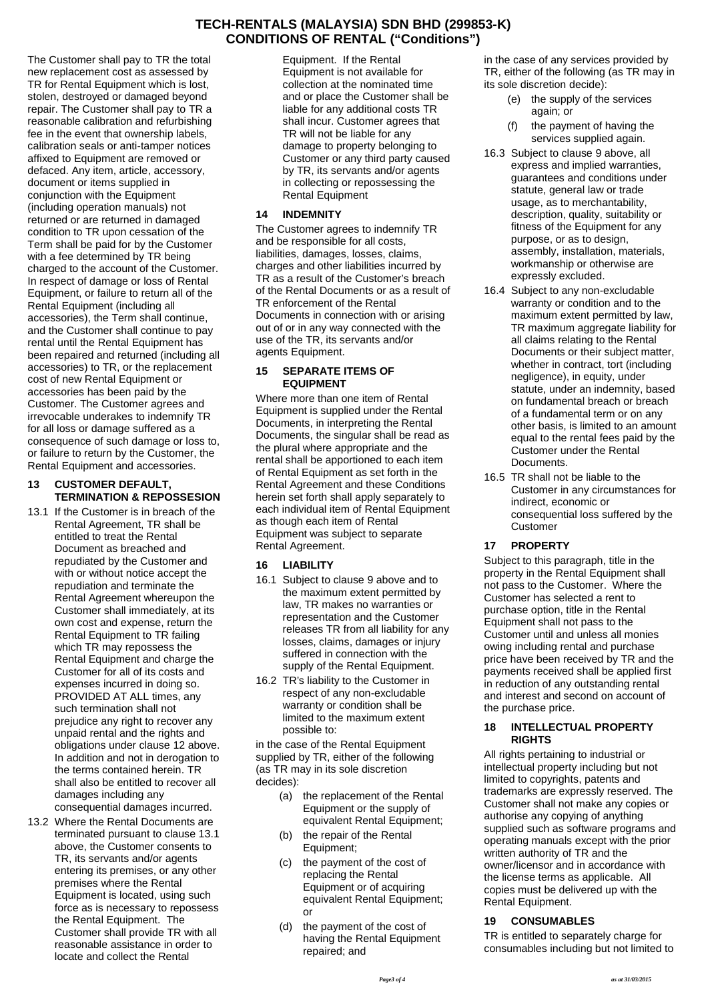The Customer shall pay to TR the total new replacement cost as assessed by TR for Rental Equipment which is lost, stolen, destroyed or damaged beyond repair. The Customer shall pay to TR a reasonable calibration and refurbishing fee in the event that ownership labels, calibration seals or anti-tamper notices affixed to Equipment are removed or defaced. Any item, article, accessory, document or items supplied in conjunction with the Equipment (including operation manuals) not returned or are returned in damaged condition to TR upon cessation of the Term shall be paid for by the Customer with a fee determined by TR being charged to the account of the Customer. In respect of damage or loss of Rental Equipment, or failure to return all of the Rental Equipment (including all accessories), the Term shall continue, and the Customer shall continue to pay rental until the Rental Equipment has been repaired and returned (including all accessories) to TR, or the replacement cost of new Rental Equipment or accessories has been paid by the Customer. The Customer agrees and irrevocable underakes to indemnify TR for all loss or damage suffered as a consequence of such damage or loss to, or failure to return by the Customer, the Rental Equipment and accessories.

#### **13 CUSTOMER DEFAULT, TERMINATION & REPOSSESION**

- 13.1 If the Customer is in breach of the Rental Agreement, TR shall be entitled to treat the Rental Document as breached and repudiated by the Customer and with or without notice accept the repudiation and terminate the Rental Agreement whereupon the Customer shall immediately, at its own cost and expense, return the Rental Equipment to TR failing which TR may repossess the Rental Equipment and charge the Customer for all of its costs and expenses incurred in doing so. PROVIDED AT ALL times, any such termination shall not prejudice any right to recover any unpaid rental and the rights and obligations under clause 12 above. In addition and not in derogation to the terms contained herein. TR shall also be entitled to recover all damages including any consequential damages incurred.
- 13.2 Where the Rental Documents are terminated pursuant to clause 13.1 above, the Customer consents to TR, its servants and/or agents entering its premises, or any other premises where the Rental Equipment is located, using such force as is necessary to repossess the Rental Equipment. The Customer shall provide TR with all reasonable assistance in order to locate and collect the Rental

Equipment. If the Rental Equipment is not available for collection at the nominated time and or place the Customer shall be liable for any additional costs TR shall incur. Customer agrees that TR will not be liable for any damage to property belonging to Customer or any third party caused by TR, its servants and/or agents in collecting or repossessing the Rental Equipment

#### **14 INDEMNITY**

The Customer agrees to indemnify TR and be responsible for all costs, liabilities, damages, losses, claims, charges and other liabilities incurred by TR as a result of the Customer's breach of the Rental Documents or as a result of TR enforcement of the Rental Documents in connection with or arising out of or in any way connected with the use of the TR, its servants and/or agents Equipment.

#### **15 SEPARATE ITEMS OF EQUIPMENT**

Where more than one item of Rental Equipment is supplied under the Rental Documents, in interpreting the Rental Documents, the singular shall be read as the plural where appropriate and the rental shall be apportioned to each item of Rental Equipment as set forth in the Rental Agreement and these Conditions herein set forth shall apply separately to each individual item of Rental Equipment as though each item of Rental Equipment was subject to separate Rental Agreement.

## **16 LIABILITY**

- 16.1 Subject to clause 9 above and to the maximum extent permitted by law, TR makes no warranties or representation and the Customer releases TR from all liability for any losses, claims, damages or injury suffered in connection with the supply of the Rental Equipment.
- 16.2 TR's liability to the Customer in respect of any non-excludable warranty or condition shall be limited to the maximum extent possible to:

in the case of the Rental Equipment supplied by TR, either of the following (as TR may in its sole discretion decides):

- (a) the replacement of the Rental Equipment or the supply of equivalent Rental Equipment;
- (b) the repair of the Rental Equipment;
- (c) the payment of the cost of replacing the Rental Equipment or of acquiring equivalent Rental Equipment; or
- (d) the payment of the cost of having the Rental Equipment repaired; and

in the case of any services provided by TR, either of the following (as TR may in its sole discretion decide):

- (e) the supply of the services again; or
- (f) the payment of having the services supplied again.
- 16.3 Subject to clause 9 above, all express and implied warranties, guarantees and conditions under statute, general law or trade usage, as to merchantability, description, quality, suitability or fitness of the Equipment for any purpose, or as to design, assembly, installation, materials, workmanship or otherwise are expressly excluded.
- 16.4 Subject to any non-excludable warranty or condition and to the maximum extent permitted by law, TR maximum aggregate liability for all claims relating to the Rental Documents or their subject matter, whether in contract, tort (including negligence), in equity, under statute, under an indemnity, based on fundamental breach or breach of a fundamental term or on any other basis, is limited to an amount equal to the rental fees paid by the Customer under the Rental Documents.
- 16.5 TR shall not be liable to the Customer in any circumstances for indirect, economic or consequential loss suffered by the Customer

## **17 PROPERTY**

Subject to this paragraph, title in the property in the Rental Equipment shall not pass to the Customer. Where the Customer has selected a rent to purchase option, title in the Rental Equipment shall not pass to the Customer until and unless all monies owing including rental and purchase price have been received by TR and the payments received shall be applied first in reduction of any outstanding rental and interest and second on account of the purchase price.

#### **18 INTELLECTUAL PROPERTY RIGHTS**

All rights pertaining to industrial or intellectual property including but not limited to copyrights, patents and trademarks are expressly reserved. The Customer shall not make any copies or authorise any copying of anything supplied such as software programs and operating manuals except with the prior written authority of TR and the owner/licensor and in accordance with the license terms as applicable. All copies must be delivered up with the Rental Equipment.

#### **19 CONSUMABLES**

TR is entitled to separately charge for consumables including but not limited to